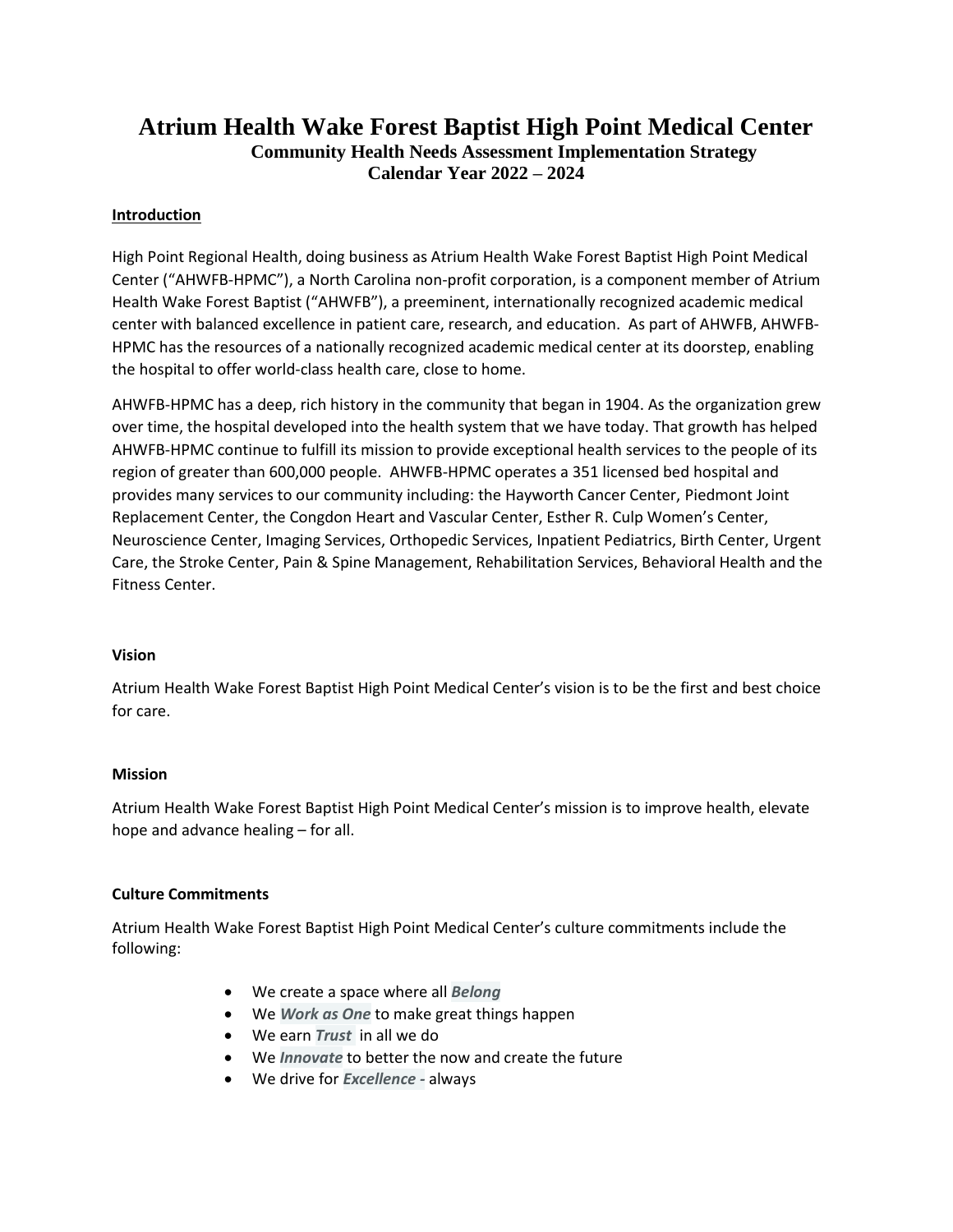# **Atrium Health Wake Forest Baptist High Point Medical Center Community Health Needs Assessment Implementation Strategy Calendar Year 2022 – 2024**

#### **Introduction**

High Point Regional Health, doing business as Atrium Health Wake Forest Baptist High Point Medical Center ("AHWFB-HPMC"), a North Carolina non-profit corporation, is a component member of Atrium Health Wake Forest Baptist ("AHWFB"), a preeminent, internationally recognized academic medical center with balanced excellence in patient care, research, and education. As part of AHWFB, AHWFB-HPMC has the resources of a nationally recognized academic medical center at its doorstep, enabling the hospital to offer world-class health care, close to home.

AHWFB-HPMC has a deep, rich history in the community that began in 1904. As the organization grew over time, the hospital developed into the health system that we have today. That growth has helped AHWFB-HPMC continue to fulfill its mission to provide exceptional health services to the people of its region of greater than 600,000 people. AHWFB-HPMC operates a 351 licensed bed hospital and provides many services to our community including: the Hayworth Cancer Center, Piedmont Joint Replacement Center, the Congdon Heart and Vascular Center, Esther R. Culp Women's Center, Neuroscience Center, Imaging Services, Orthopedic Services, Inpatient Pediatrics, Birth Center, Urgent Care, the Stroke Center, Pain & Spine Management, Rehabilitation Services, Behavioral Health and the Fitness Center.

#### **Vision**

Atrium Health Wake Forest Baptist High Point Medical Center's vision is to be the first and best choice for care.

#### **Mission**

Atrium Health Wake Forest Baptist High Point Medical Center's mission is to improve health, elevate hope and advance healing – for all.

#### **Culture Commitments**

Atrium Health Wake Forest Baptist High Point Medical Center's culture commitments include the following:

- We create a space where all *Belong*
- We *Work as One* to make great things happen
- We earn *Trust* in all we do
- We *Innovate* to better the now and create the future
- We drive for *Excellence -* always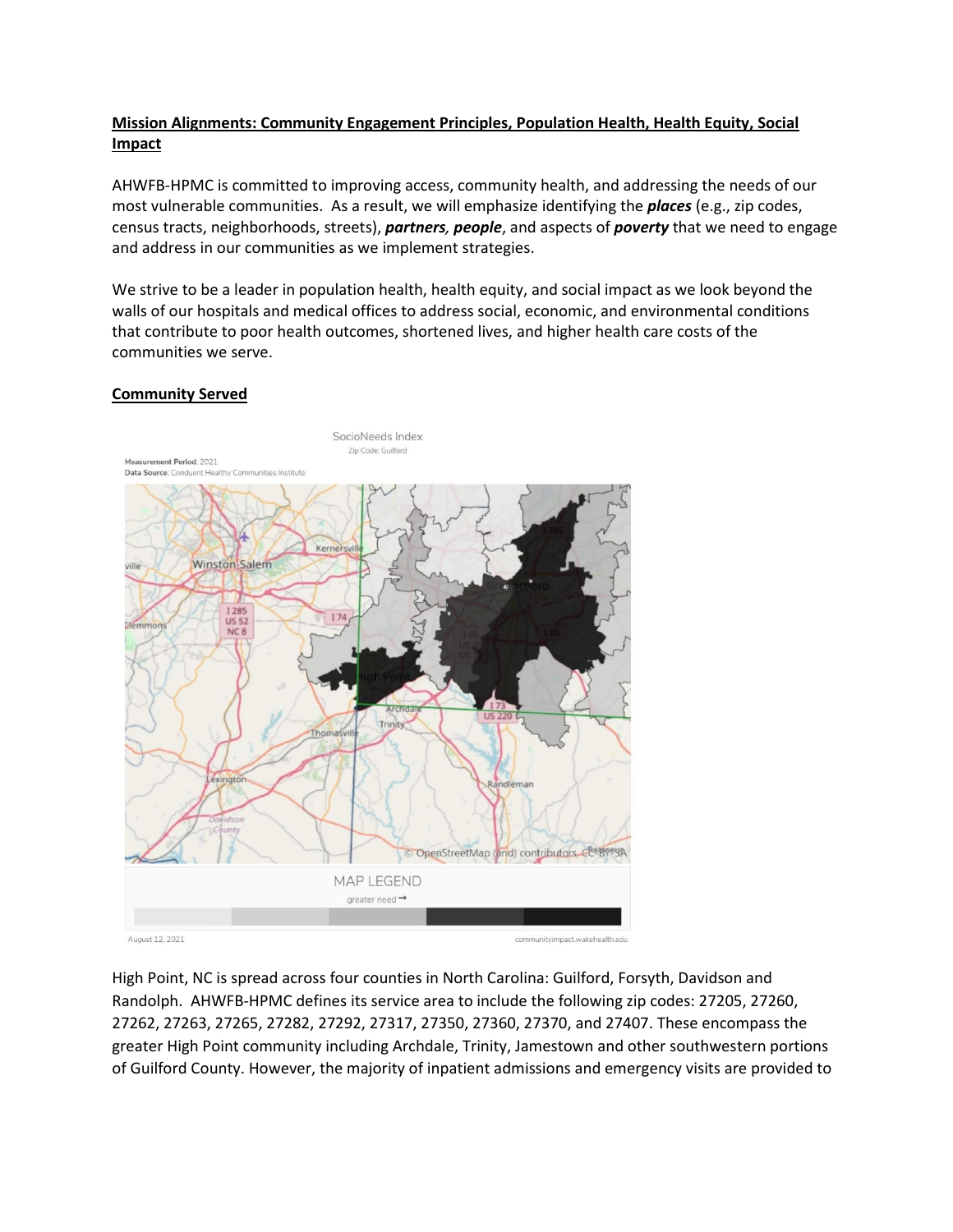# **Mission Alignments: Community Engagement Principles, Population Health, Health Equity, Social Impact**

AHWFB-HPMC is committed to improving access, community health, and addressing the needs of our most vulnerable communities. As a result, we will emphasize identifying the *places* (e.g., zip codes, census tracts, neighborhoods, streets), *partners, people*, and aspects of *poverty* that we need to engage and address in our communities as we implement strategies.

We strive to be a leader in population health, health equity, and social impact as we look beyond the walls of our hospitals and medical offices to address social, economic, and environmental conditions that contribute to poor health outcomes, shortened lives, and higher health care costs of the communities we serve.

#### **Community Served**



High Point, NC is spread across four counties in North Carolina: Guilford, Forsyth, Davidson and Randolph. AHWFB-HPMC defines its service area to include the following zip codes: 27205, 27260, 27262, 27263, 27265, 27282, 27292, 27317, 27350, 27360, 27370, and 27407. These encompass the greater High Point community including Archdale, Trinity, Jamestown and other southwestern portions of Guilford County. However, the majority of inpatient admissions and emergency visits are provided to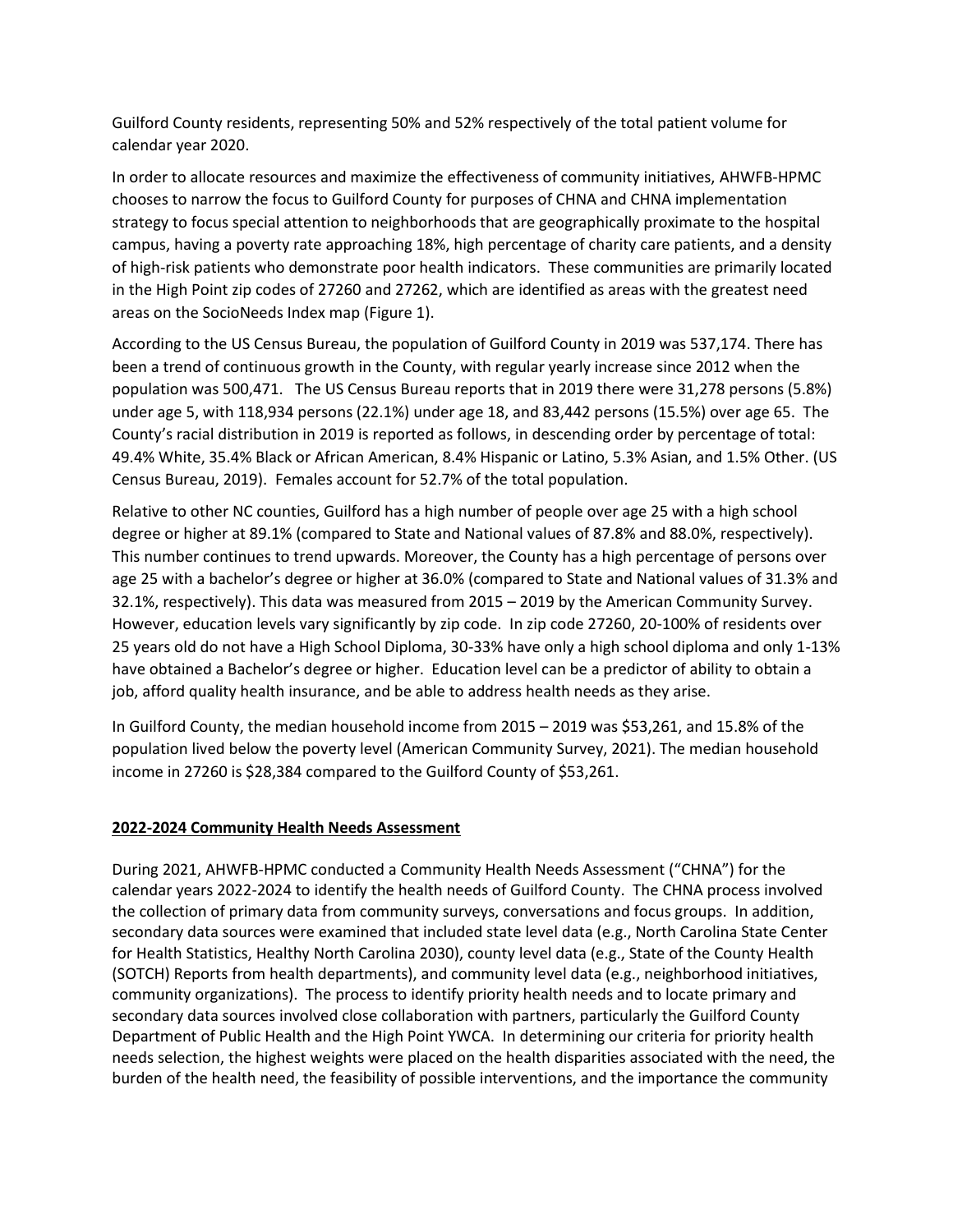Guilford County residents, representing 50% and 52% respectively of the total patient volume for calendar year 2020.

In order to allocate resources and maximize the effectiveness of community initiatives, AHWFB-HPMC chooses to narrow the focus to Guilford County for purposes of CHNA and CHNA implementation strategy to focus special attention to neighborhoods that are geographically proximate to the hospital campus, having a poverty rate approaching 18%, high percentage of charity care patients, and a density of high-risk patients who demonstrate poor health indicators. These communities are primarily located in the High Point zip codes of 27260 and 27262, which are identified as areas with the greatest need areas on the SocioNeeds Index map (Figure 1).

According to the US Census Bureau, the population of Guilford County in 2019 was 537,174. There has been a trend of continuous growth in the County, with regular yearly increase since 2012 when the population was 500,471. The US Census Bureau reports that in 2019 there were 31,278 persons (5.8%) under age 5, with 118,934 persons (22.1%) under age 18, and 83,442 persons (15.5%) over age 65. The County's racial distribution in 2019 is reported as follows, in descending order by percentage of total: 49.4% White, 35.4% Black or African American, 8.4% Hispanic or Latino, 5.3% Asian, and 1.5% Other. (US Census Bureau, 2019). Females account for 52.7% of the total population.

Relative to other NC counties, Guilford has a high number of people over age 25 with a high school degree or higher at 89.1% (compared to State and National values of 87.8% and 88.0%, respectively). This number continues to trend upwards. Moreover, the County has a high percentage of persons over age 25 with a bachelor's degree or higher at 36.0% (compared to State and National values of 31.3% and 32.1%, respectively). This data was measured from 2015 – 2019 by the American Community Survey. However, education levels vary significantly by zip code. In zip code 27260, 20-100% of residents over 25 years old do not have a High School Diploma, 30-33% have only a high school diploma and only 1-13% have obtained a Bachelor's degree or higher. Education level can be a predictor of ability to obtain a job, afford quality health insurance, and be able to address health needs as they arise.

In Guilford County, the median household income from 2015 – 2019 was \$53,261, and 15.8% of the population lived below the poverty level (American Community Survey, 2021). The median household income in 27260 is \$28,384 compared to the Guilford County of \$53,261.

# **2022-2024 Community Health Needs Assessment**

During 2021, AHWFB-HPMC conducted a Community Health Needs Assessment ("CHNA") for the calendar years 2022-2024 to identify the health needs of Guilford County. The CHNA process involved the collection of primary data from community surveys, conversations and focus groups. In addition, secondary data sources were examined that included state level data (e.g., North Carolina State Center for Health Statistics, Healthy North Carolina 2030), county level data (e.g., State of the County Health (SOTCH) Reports from health departments), and community level data (e.g., neighborhood initiatives, community organizations). The process to identify priority health needs and to locate primary and secondary data sources involved close collaboration with partners, particularly the Guilford County Department of Public Health and the High Point YWCA. In determining our criteria for priority health needs selection, the highest weights were placed on the health disparities associated with the need, the burden of the health need, the feasibility of possible interventions, and the importance the community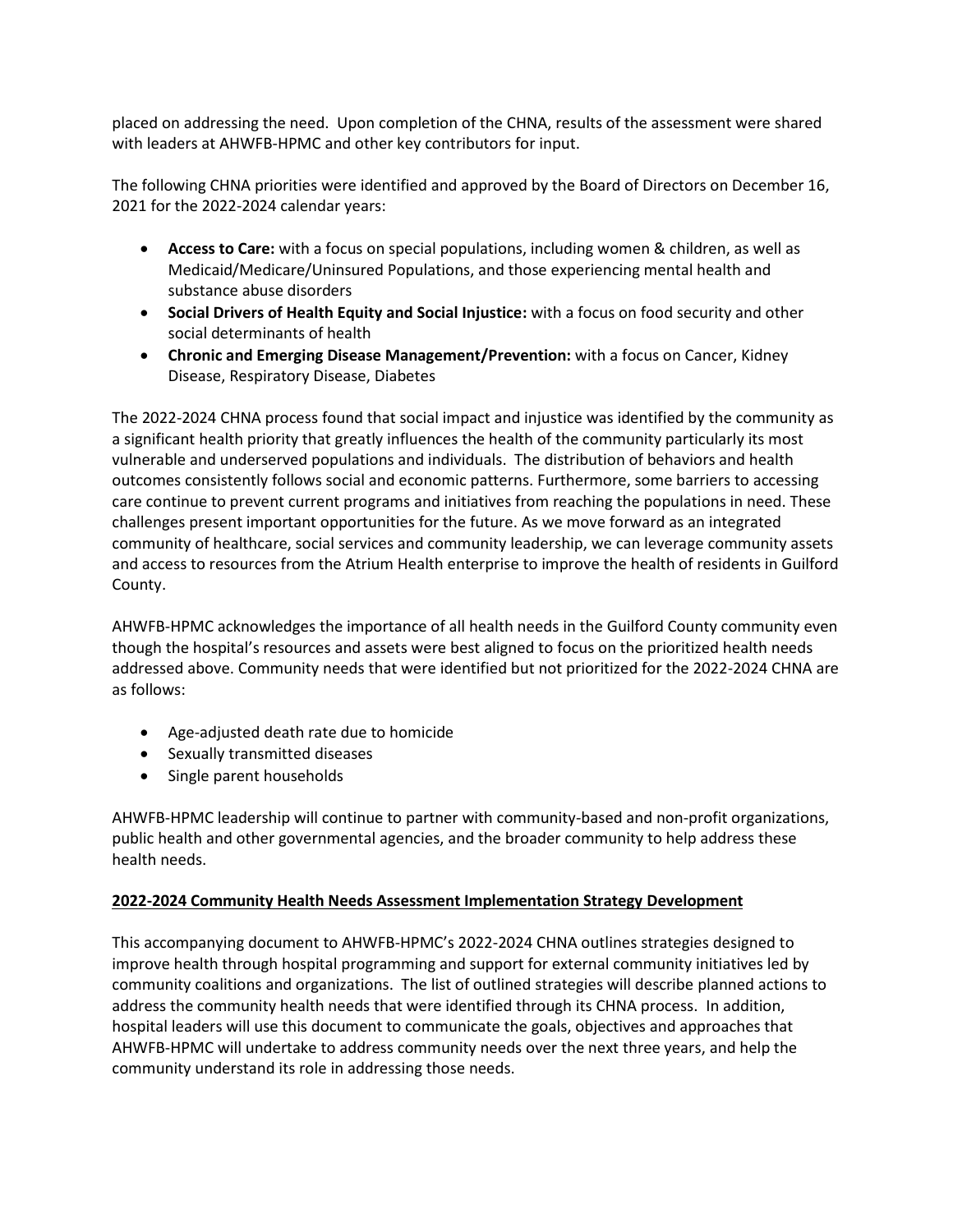placed on addressing the need. Upon completion of the CHNA, results of the assessment were shared with leaders at AHWFB-HPMC and other key contributors for input.

The following CHNA priorities were identified and approved by the Board of Directors on December 16, 2021 for the 2022-2024 calendar years:

- **Access to Care:** with a focus on special populations, including women & children, as well as Medicaid/Medicare/Uninsured Populations, and those experiencing mental health and substance abuse disorders
- **Social Drivers of Health Equity and Social Injustice:** with a focus on food security and other social determinants of health
- **Chronic and Emerging Disease Management/Prevention:** with a focus on Cancer, Kidney Disease, Respiratory Disease, Diabetes

The 2022-2024 CHNA process found that social impact and injustice was identified by the community as a significant health priority that greatly influences the health of the community particularly its most vulnerable and underserved populations and individuals. The distribution of behaviors and health outcomes consistently follows social and economic patterns. Furthermore, some barriers to accessing care continue to prevent current programs and initiatives from reaching the populations in need. These challenges present important opportunities for the future. As we move forward as an integrated community of healthcare, social services and community leadership, we can leverage community assets and access to resources from the Atrium Health enterprise to improve the health of residents in Guilford County.

AHWFB-HPMC acknowledges the importance of all health needs in the Guilford County community even though the hospital's resources and assets were best aligned to focus on the prioritized health needs addressed above. Community needs that were identified but not prioritized for the 2022-2024 CHNA are as follows:

- Age-adjusted death rate due to homicide
- Sexually transmitted diseases
- Single parent households

AHWFB-HPMC leadership will continue to partner with community-based and non-profit organizations, public health and other governmental agencies, and the broader community to help address these health needs.

# **2022-2024 Community Health Needs Assessment Implementation Strategy Development**

This accompanying document to AHWFB-HPMC's 2022-2024 CHNA outlines strategies designed to improve health through hospital programming and support for external community initiatives led by community coalitions and organizations. The list of outlined strategies will describe planned actions to address the community health needs that were identified through its CHNA process. In addition, hospital leaders will use this document to communicate the goals, objectives and approaches that AHWFB-HPMC will undertake to address community needs over the next three years, and help the community understand its role in addressing those needs.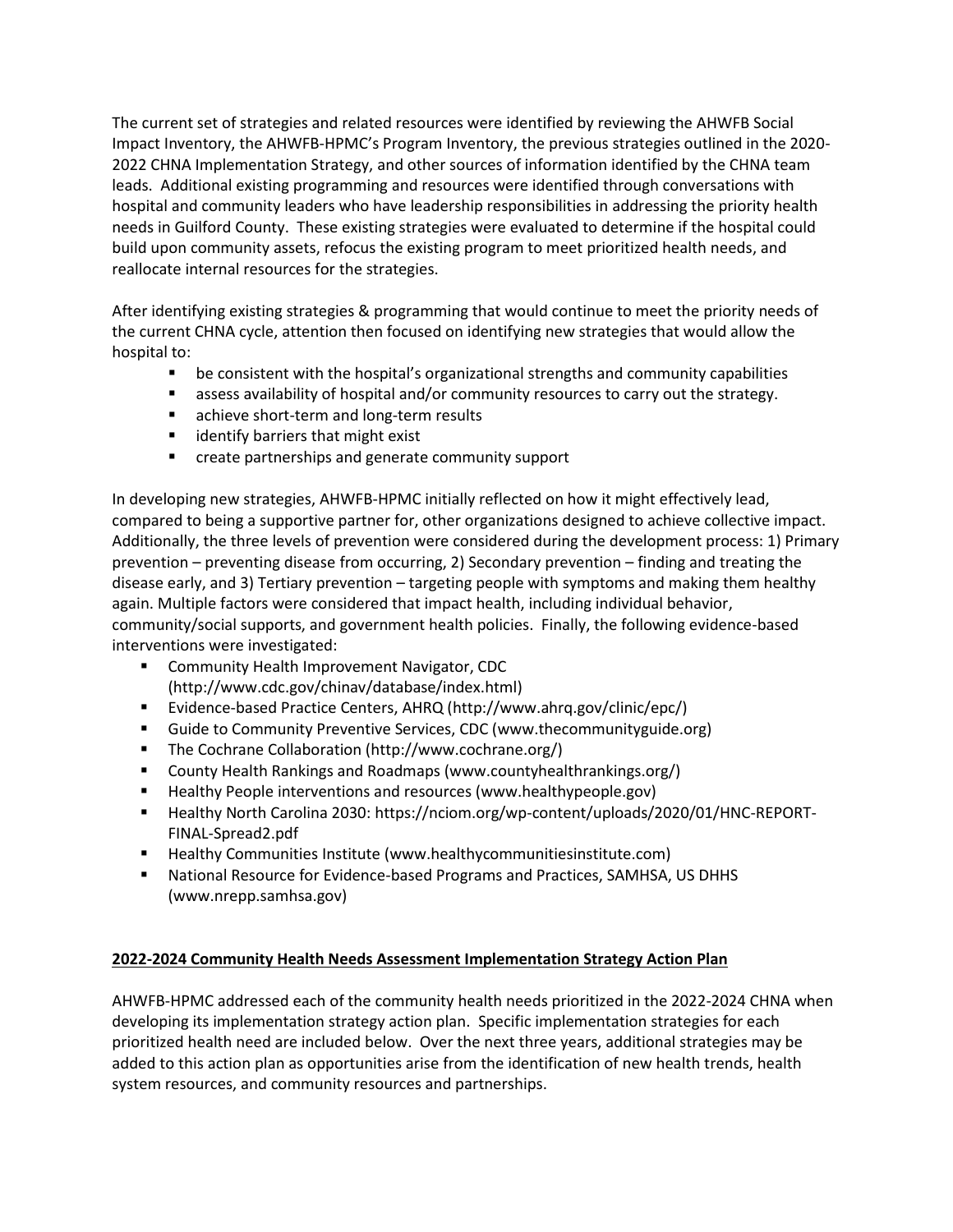The current set of strategies and related resources were identified by reviewing the AHWFB Social Impact Inventory, the AHWFB-HPMC's Program Inventory, the previous strategies outlined in the 2020- 2022 CHNA Implementation Strategy, and other sources of information identified by the CHNA team leads. Additional existing programming and resources were identified through conversations with hospital and community leaders who have leadership responsibilities in addressing the priority health needs in Guilford County. These existing strategies were evaluated to determine if the hospital could build upon community assets, refocus the existing program to meet prioritized health needs, and reallocate internal resources for the strategies.

After identifying existing strategies & programming that would continue to meet the priority needs of the current CHNA cycle, attention then focused on identifying new strategies that would allow the hospital to:

- be consistent with the hospital's organizational strengths and community capabilities
- assess availability of hospital and/or community resources to carry out the strategy.
- **EXEC** achieve short-term and long-term results
- **I** identify barriers that might exist
- **E** create partnerships and generate community support

In developing new strategies, AHWFB-HPMC initially reflected on how it might effectively lead, compared to being a supportive partner for, other organizations designed to achieve collective impact. Additionally, the three levels of prevention were considered during the development process: 1) Primary prevention – preventing disease from occurring, 2) Secondary prevention – finding and treating the disease early, and 3) Tertiary prevention – targeting people with symptoms and making them healthy again. Multiple factors were considered that impact health, including individual behavior, community/social supports, and government health policies. Finally, the following evidence-based interventions were investigated:

- **E** Community Health Improvement Navigator, CDC [\(http://www.cdc.gov/chinav/database/index.html\)](http://www.cdc.gov/chinav/database/index.html)
- Evidence-based Practice Centers, AHRQ [\(http://www.ahrq.gov/clinic/epc/\)](http://www.ahrq.gov/clinic/epc/)
- Guide to Community Preventive Services, CDC [\(www.thecommunityguide.org\)](http://www.thecommunityguide.org/)
- The Cochrane Collaboration [\(http://www.cochrane.org/\)](http://www.cochrane.org/)
- County Health Rankings and Roadmaps [\(www.countyhealthrankings.org/\)](http://www.countyhealthrankings.org/)
- Healthy People interventions and resources [\(www.healthypeople.gov\)](http://www.healthypeople.gov/)
- Healthy North Carolina 2030: [https://nciom.org/wp-content/uploads/2020/01/HNC-REPORT-](https://nciom.org/wp-content/uploads/2020/01/HNC-REPORT-FINAL-Spread2.pdf)[FINAL-Spread2.pdf](https://nciom.org/wp-content/uploads/2020/01/HNC-REPORT-FINAL-Spread2.pdf)
- Healthy Communities Institute [\(www.healthycommunitiesinstitute.com\)](http://www.healthycommunitiesinstitute.com/)
- National Resource for Evidence-based Programs and Practices, SAMHSA, US DHHS [\(www.nrepp.samhsa.gov\)](http://www.nrepp.samhsa.gov/)

# **2022-2024 Community Health Needs Assessment Implementation Strategy Action Plan**

AHWFB-HPMC addressed each of the community health needs prioritized in the 2022-2024 CHNA when developing its implementation strategy action plan. Specific implementation strategies for each prioritized health need are included below. Over the next three years, additional strategies may be added to this action plan as opportunities arise from the identification of new health trends, health system resources, and community resources and partnerships.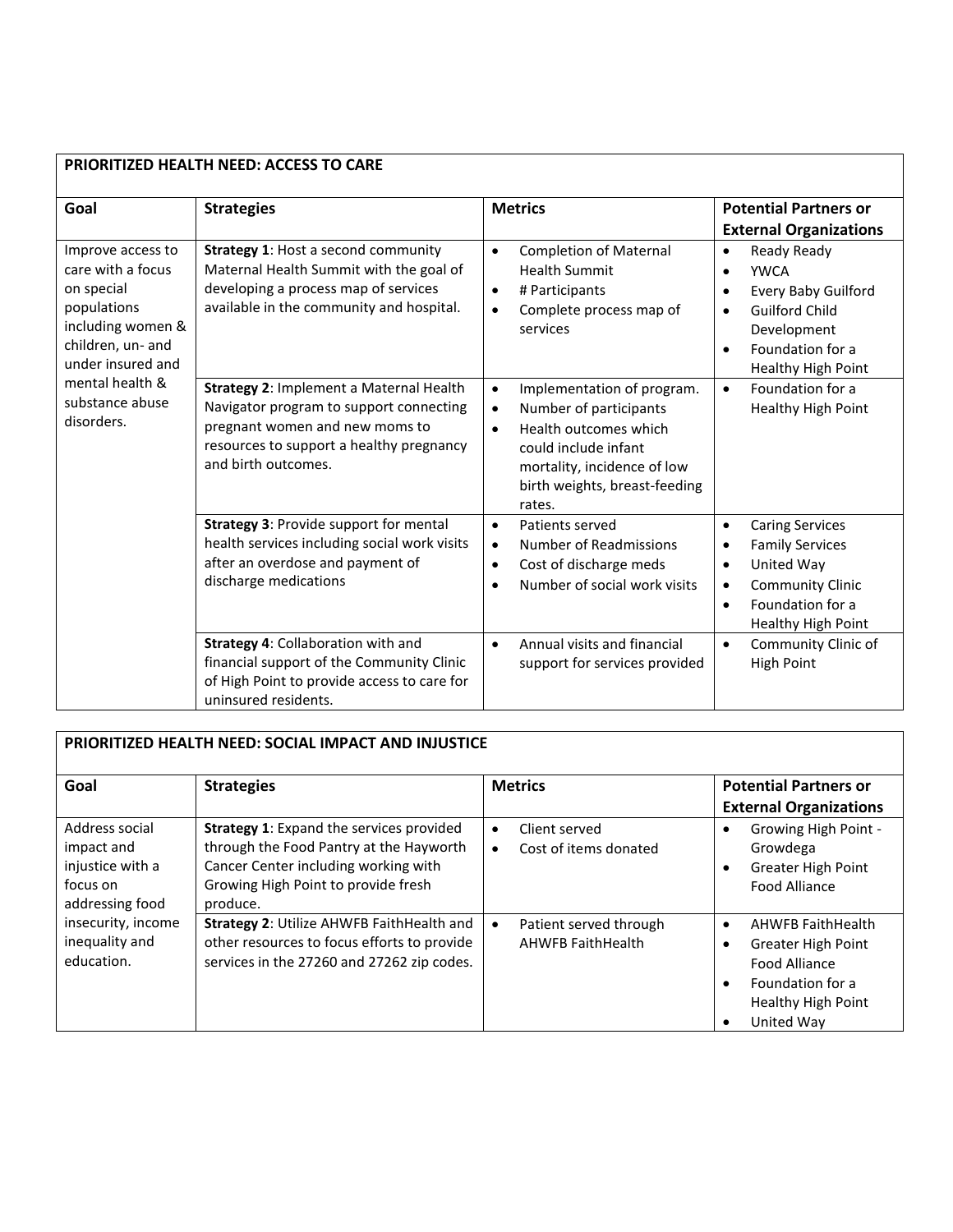| PRIORITIZED HEALTH NEED: ACCESS TO CARE                                                                                                                                                |                                                                                                                                                                                         |                                                                                                                                                                                                                        |                                                                                                                                                                                                                    |
|----------------------------------------------------------------------------------------------------------------------------------------------------------------------------------------|-----------------------------------------------------------------------------------------------------------------------------------------------------------------------------------------|------------------------------------------------------------------------------------------------------------------------------------------------------------------------------------------------------------------------|--------------------------------------------------------------------------------------------------------------------------------------------------------------------------------------------------------------------|
| Goal                                                                                                                                                                                   | <b>Strategies</b>                                                                                                                                                                       | <b>Metrics</b>                                                                                                                                                                                                         | <b>Potential Partners or</b><br><b>External Organizations</b>                                                                                                                                                      |
| Improve access to<br>care with a focus<br>on special<br>populations<br>including women &<br>children, un- and<br>under insured and<br>mental health &<br>substance abuse<br>disorders. | <b>Strategy 1: Host a second community</b><br>Maternal Health Summit with the goal of<br>developing a process map of services<br>available in the community and hospital.               | <b>Completion of Maternal</b><br>$\bullet$<br><b>Health Summit</b><br># Participants<br>$\bullet$<br>Complete process map of<br>$\bullet$<br>services                                                                  | Ready Ready<br>$\bullet$<br><b>YWCA</b><br>$\bullet$<br><b>Every Baby Guilford</b><br>$\bullet$<br><b>Guilford Child</b><br>$\bullet$<br>Development<br>Foundation for a<br>$\bullet$<br><b>Healthy High Point</b> |
|                                                                                                                                                                                        | Strategy 2: Implement a Maternal Health<br>Navigator program to support connecting<br>pregnant women and new moms to<br>resources to support a healthy pregnancy<br>and birth outcomes. | Implementation of program.<br>$\bullet$<br>Number of participants<br>$\bullet$<br>Health outcomes which<br>$\bullet$<br>could include infant<br>mortality, incidence of low<br>birth weights, breast-feeding<br>rates. | Foundation for a<br>$\bullet$<br><b>Healthy High Point</b>                                                                                                                                                         |
|                                                                                                                                                                                        | Strategy 3: Provide support for mental<br>health services including social work visits<br>after an overdose and payment of<br>discharge medications                                     | Patients served<br>$\bullet$<br><b>Number of Readmissions</b><br>$\bullet$<br>Cost of discharge meds<br>$\bullet$<br>Number of social work visits                                                                      | <b>Caring Services</b><br>$\bullet$<br><b>Family Services</b><br>$\bullet$<br>United Way<br>$\bullet$<br><b>Community Clinic</b><br>$\bullet$<br>Foundation for a<br>$\bullet$<br><b>Healthy High Point</b>        |
|                                                                                                                                                                                        | Strategy 4: Collaboration with and<br>financial support of the Community Clinic<br>of High Point to provide access to care for<br>uninsured residents.                                  | Annual visits and financial<br>$\bullet$<br>support for services provided                                                                                                                                              | Community Clinic of<br>$\bullet$<br><b>High Point</b>                                                                                                                                                              |

# **PRIORITIZED HEALTH NEED: SOCIAL IMPACT AND INJUSTICE**

| Goal                                                                            | <b>Strategies</b>                                                                                                                                                              | <b>Metrics</b>                                                  | <b>Potential Partners or</b>                                                                                                         |
|---------------------------------------------------------------------------------|--------------------------------------------------------------------------------------------------------------------------------------------------------------------------------|-----------------------------------------------------------------|--------------------------------------------------------------------------------------------------------------------------------------|
|                                                                                 |                                                                                                                                                                                |                                                                 | <b>External Organizations</b>                                                                                                        |
| Address social<br>impact and<br>injustice with a<br>focus on<br>addressing food | Strategy 1: Expand the services provided<br>through the Food Pantry at the Hayworth<br>Cancer Center including working with<br>Growing High Point to provide fresh<br>produce. | Client served<br>$\bullet$<br>Cost of items donated<br>٠        | Growing High Point -<br>Growdega<br>Greater High Point<br>Food Alliance                                                              |
| insecurity, income<br>inequality and<br>education.                              | <b>Strategy 2: Utilize AHWFB FaithHealth and</b><br>other resources to focus efforts to provide<br>services in the 27260 and 27262 zip codes.                                  | Patient served through<br>$\bullet$<br><b>AHWFB FaithHealth</b> | AHWFB FaithHealth<br>$\bullet$<br><b>Greater High Point</b><br>Food Alliance<br>Foundation for a<br>Healthy High Point<br>United Way |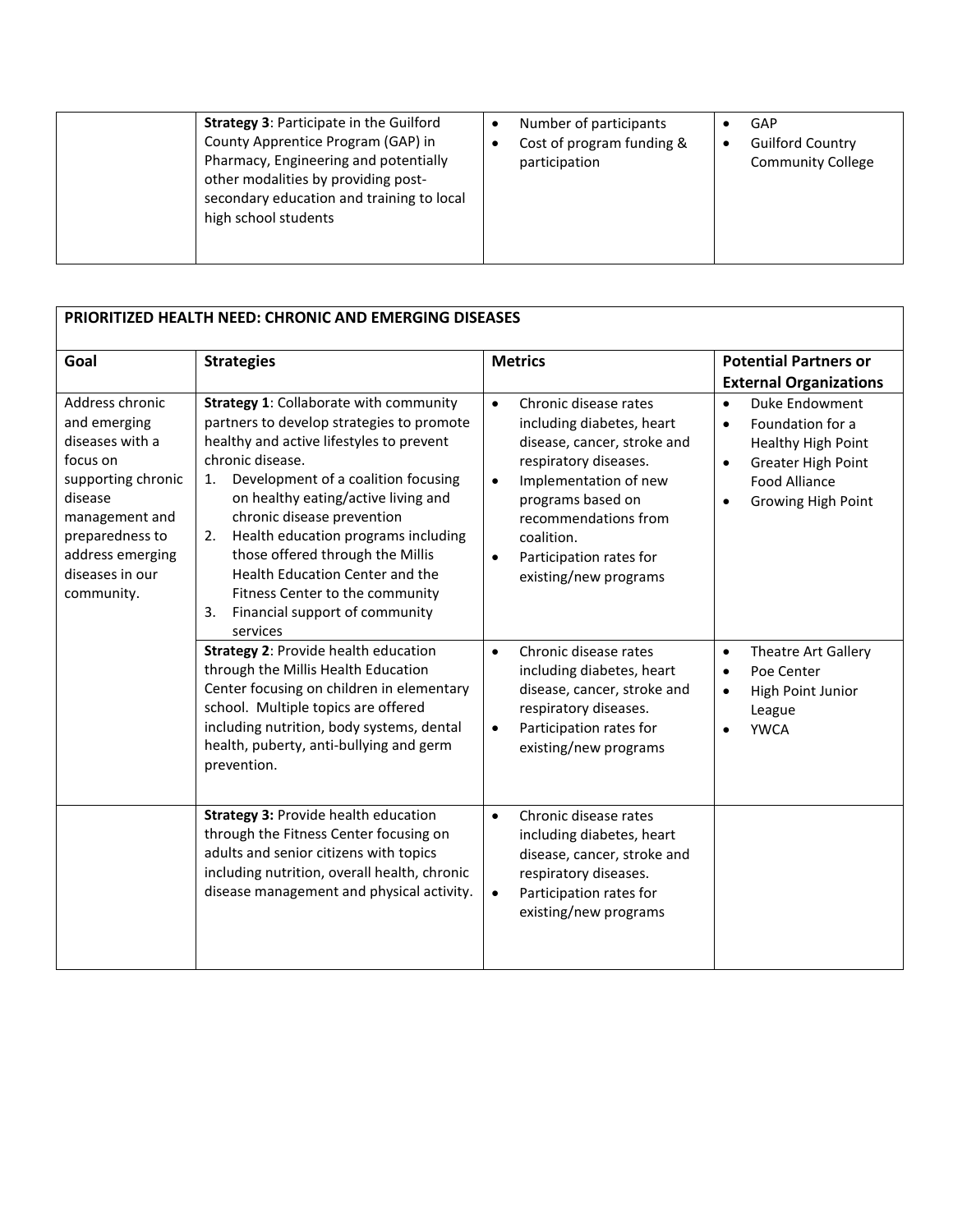| <b>Strategy 3: Participate in the Guilford</b><br>County Apprentice Program (GAP) in<br>Pharmacy, Engineering and potentially<br>other modalities by providing post-<br>secondary education and training to local<br>high school students | Number of participants<br>Cost of program funding &<br>participation | GAP<br><b>Guilford Country</b><br><b>Community College</b> |
|-------------------------------------------------------------------------------------------------------------------------------------------------------------------------------------------------------------------------------------------|----------------------------------------------------------------------|------------------------------------------------------------|
|-------------------------------------------------------------------------------------------------------------------------------------------------------------------------------------------------------------------------------------------|----------------------------------------------------------------------|------------------------------------------------------------|

| PRIORITIZED HEALTH NEED: CHRONIC AND EMERGING DISEASES                                                                                                                                    |                                                                                                                                                                                                                                                                                                                                                                                                                                                                                         |                                                                                                                                                                                                                                                                                           |                                                                                                                                                                     |
|-------------------------------------------------------------------------------------------------------------------------------------------------------------------------------------------|-----------------------------------------------------------------------------------------------------------------------------------------------------------------------------------------------------------------------------------------------------------------------------------------------------------------------------------------------------------------------------------------------------------------------------------------------------------------------------------------|-------------------------------------------------------------------------------------------------------------------------------------------------------------------------------------------------------------------------------------------------------------------------------------------|---------------------------------------------------------------------------------------------------------------------------------------------------------------------|
| Goal                                                                                                                                                                                      | <b>Strategies</b>                                                                                                                                                                                                                                                                                                                                                                                                                                                                       | <b>Metrics</b>                                                                                                                                                                                                                                                                            | <b>Potential Partners or</b><br><b>External Organizations</b>                                                                                                       |
| Address chronic<br>and emerging<br>diseases with a<br>focus on<br>supporting chronic<br>disease<br>management and<br>preparedness to<br>address emerging<br>diseases in our<br>community. | <b>Strategy 1: Collaborate with community</b><br>partners to develop strategies to promote<br>healthy and active lifestyles to prevent<br>chronic disease.<br>Development of a coalition focusing<br>1.<br>on healthy eating/active living and<br>chronic disease prevention<br>Health education programs including<br>2.<br>those offered through the Millis<br>Health Education Center and the<br>Fitness Center to the community<br>Financial support of community<br>3.<br>services | Chronic disease rates<br>$\bullet$<br>including diabetes, heart<br>disease, cancer, stroke and<br>respiratory diseases.<br>Implementation of new<br>$\bullet$<br>programs based on<br>recommendations from<br>coalition.<br>Participation rates for<br>$\bullet$<br>existing/new programs | Duke Endowment<br>$\bullet$<br>Foundation for a<br>$\bullet$<br>Healthy High Point<br>Greater High Point<br>$\bullet$<br><b>Food Alliance</b><br>Growing High Point |
|                                                                                                                                                                                           | Strategy 2: Provide health education<br>through the Millis Health Education<br>Center focusing on children in elementary<br>school. Multiple topics are offered<br>including nutrition, body systems, dental<br>health, puberty, anti-bullying and germ<br>prevention.                                                                                                                                                                                                                  | Chronic disease rates<br>$\bullet$<br>including diabetes, heart<br>disease, cancer, stroke and<br>respiratory diseases.<br>Participation rates for<br>$\bullet$<br>existing/new programs                                                                                                  | Theatre Art Gallery<br>$\bullet$<br>Poe Center<br>$\bullet$<br>High Point Junior<br>$\bullet$<br>League<br><b>YWCA</b>                                              |
|                                                                                                                                                                                           | <b>Strategy 3: Provide health education</b><br>through the Fitness Center focusing on<br>adults and senior citizens with topics<br>including nutrition, overall health, chronic<br>disease management and physical activity.                                                                                                                                                                                                                                                            | Chronic disease rates<br>$\bullet$<br>including diabetes, heart<br>disease, cancer, stroke and<br>respiratory diseases.<br>Participation rates for<br>$\bullet$<br>existing/new programs                                                                                                  |                                                                                                                                                                     |